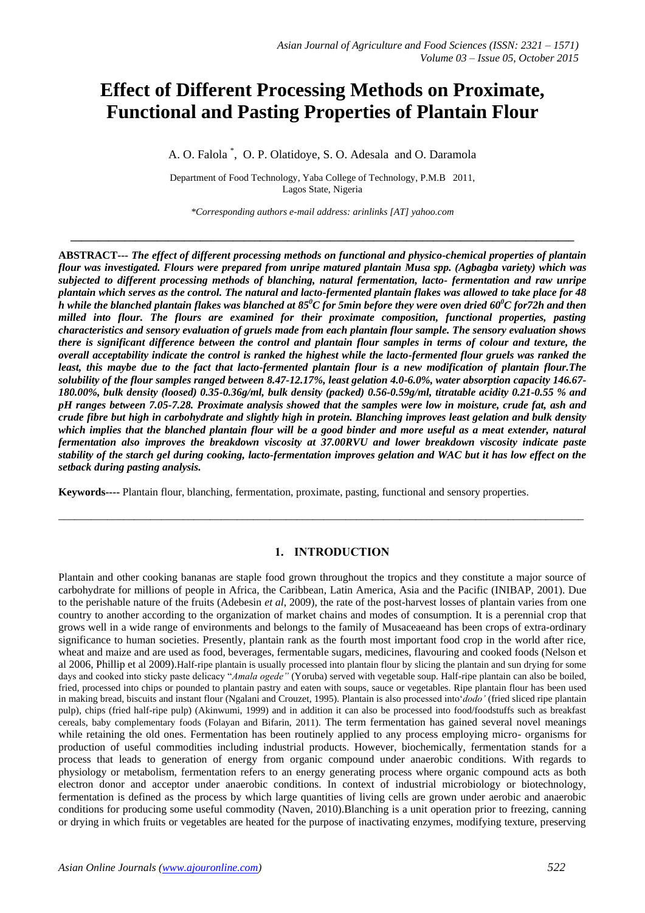# **Effect of Different Processing Methods on Proximate, Functional and Pasting Properties of Plantain Flour**

A. O. Falola \* , O. P. Olatidoye, S. O. Adesala and O. Daramola

Department of Food Technology, Yaba College of Technology, P.M.B 2011, Lagos State, Nigeria

*\*Corresponding authors e-mail address: arinlinks [AT] yahoo.com*

**\_\_\_\_\_\_\_\_\_\_\_\_\_\_\_\_\_\_\_\_\_\_\_\_\_\_\_\_\_\_\_\_\_\_\_\_\_\_\_\_\_\_\_\_\_\_\_\_\_\_\_\_\_\_\_\_\_\_\_\_\_\_\_\_\_\_\_\_\_\_\_\_\_\_\_\_\_\_\_\_\_\_\_\_\_\_\_\_\_\_\_\_\_**

**ABSTRACT---** *The effect of different processing methods on functional and physico-chemical properties of plantain flour was investigated. Flours were prepared from unripe matured plantain Musa spp. (Agbagba variety) which was subjected to different processing methods of blanching, natural fermentation, lacto- fermentation and raw unripe plantain which serves as the control. The natural and lacto-fermented plantain flakes was allowed to take place for 48 h while the blanched plantain flakes was blanched at 85<sup>0</sup>C for 5min before they were oven dried 60<sup>0</sup>C for72h and then milled into flour. The flours are examined for their proximate composition, functional properties, pasting characteristics and sensory evaluation of gruels made from each plantain flour sample. The sensory evaluation shows there is significant difference between the control and plantain flour samples in terms of colour and texture, the overall acceptability indicate the control is ranked the highest while the lacto-fermented flour gruels was ranked the least, this maybe due to the fact that lacto-fermented plantain flour is a new modification of plantain flour.The solubility of the flour samples ranged between 8.47-12.17%, least gelation 4.0-6.0%, water absorption capacity 146.67- 180.00%, bulk density (loosed) 0.35-0.36g/ml, bulk density (packed) 0.56-0.59g/ml, titratable acidity 0.21-0.55 % and pH ranges between 7.05-7.28. Proximate analysis showed that the samples were low in moisture, crude fat, ash and crude fibre but high in carbohydrate and slightly high in protein. Blanching improves least gelation and bulk density which implies that the blanched plantain flour will be a good binder and more useful as a meat extender, natural fermentation also improves the breakdown viscosity at 37.00RVU and lower breakdown viscosity indicate paste stability of the starch gel during cooking, lacto-fermentation improves gelation and WAC but it has low effect on the setback during pasting analysis.*

**Keywords----** Plantain flour, blanching, fermentation, proximate, pasting, functional and sensory properties.

# **1. INTRODUCTION**

\_\_\_\_\_\_\_\_\_\_\_\_\_\_\_\_\_\_\_\_\_\_\_\_\_\_\_\_\_\_\_\_\_\_\_\_\_\_\_\_\_\_\_\_\_\_\_\_\_\_\_\_\_\_\_\_\_\_\_\_\_\_\_\_\_\_\_\_\_\_\_\_\_\_\_\_\_\_\_\_\_\_\_\_\_\_\_\_\_\_\_\_\_\_\_\_\_

Plantain and other cooking bananas are staple food grown throughout the tropics and they constitute a major source of carbohydrate for millions of people in Africa, the Caribbean, Latin America, Asia and the Pacific (INIBAP, 2001). Due to the perishable nature of the fruits (Adebesin *et al*, 2009), the rate of the post-harvest losses of plantain varies from one country to another according to the organization of market chains and modes of consumption. It is a perennial crop that grows well in a wide range of environments and belongs to the family of Musaceaeand has been crops of extra-ordinary significance to human societies. Presently, plantain rank as the fourth most important food crop in the world after rice, wheat and maize and are used as food, beverages, fermentable sugars, medicines, flavouring and cooked foods (Nelson et al 2006, Phillip et al 2009).Half-ripe plantain is usually processed into plantain flour by slicing the plantain and sun drying for some days and cooked into sticky paste delicacy "*Amala ogede"* (Yoruba) served with vegetable soup. Half-ripe plantain can also be boiled, fried, processed into chips or pounded to plantain pastry and eaten with soups, sauce or vegetables. Ripe plantain flour has been used in making bread, biscuits and instant flour (Ngalani and Crouzet, 1995). Plantain is also processed into'*dodo'* (fried sliced ripe plantain pulp), chips (fried half-ripe pulp) (Akinwumi, 1999) and in addition it can also be processed into food/foodstuffs such as breakfast cereals, baby complementary foods (Folayan and Bifarin, 2011). The term fermentation has gained several novel meanings while retaining the old ones. Fermentation has been routinely applied to any process employing micro- organisms for production of useful commodities including industrial products. However, biochemically, fermentation stands for a process that leads to generation of energy from organic compound under anaerobic conditions. With regards to physiology or metabolism, fermentation refers to an energy generating process where organic compound acts as both electron donor and acceptor under anaerobic conditions. In context of industrial microbiology or biotechnology, fermentation is defined as the process by which large quantities of living cells are grown under aerobic and anaerobic conditions for producing some useful commodity (Naven, 2010).Blanching is a unit operation prior to freezing, canning or drying in which fruits or vegetables are heated for the purpose of inactivating enzymes, modifying texture, preserving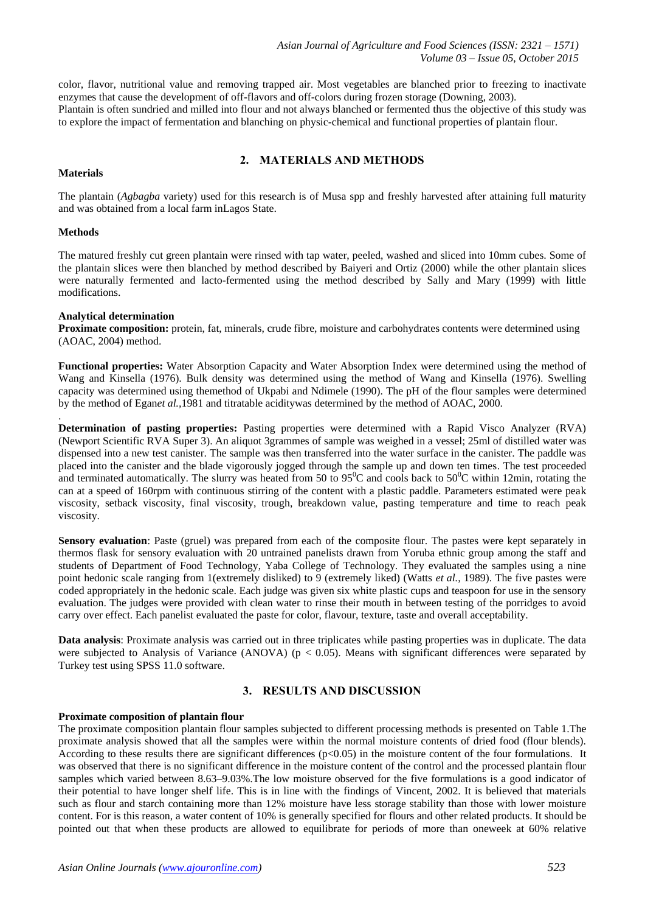color, flavor, nutritional value and removing trapped air. Most vegetables are blanched prior to freezing to inactivate enzymes that cause the development of off-flavors and off-colors during frozen storage (Downing, 2003). Plantain is often sundried and milled into flour and not always blanched or fermented thus the objective of this study was to explore the impact of fermentation and blanching on physic-chemical and functional properties of plantain flour.

## **2. MATERIALS AND METHODS**

#### **Materials**

The plantain (*Agbagba* variety) used for this research is of Musa spp and freshly harvested after attaining full maturity and was obtained from a local farm inLagos State.

#### **Methods**

.

The matured freshly cut green plantain were rinsed with tap water, peeled, washed and sliced into 10mm cubes. Some of the plantain slices were then blanched by method described by Baiyeri and Ortiz (2000) while the other plantain slices were naturally fermented and lacto-fermented using the method described by Sally and Mary (1999) with little modifications.

## **Analytical determination**

**Proximate composition:** protein, fat, minerals, crude fibre, moisture and carbohydrates contents were determined using (AOAC, 2004) method.

**Functional properties:** Water Absorption Capacity and Water Absorption Index were determined using the method of Wang and Kinsella (1976). Bulk density was determined using the method of Wang and Kinsella (1976). Swelling capacity was determined using themethod of Ukpabi and Ndimele (1990). The pH of the flour samples were determined by the method of Egan*et al.,*1981 and titratable aciditywas determined by the method of AOAC, 2000.

**Determination of pasting properties:** Pasting properties were determined with a Rapid Visco Analyzer (RVA) (Newport Scientific RVA Super 3). An aliquot 3grammes of sample was weighed in a vessel; 25ml of distilled water was dispensed into a new test canister. The sample was then transferred into the water surface in the canister. The paddle was placed into the canister and the blade vigorously jogged through the sample up and down ten times. The test proceeded and terminated automatically. The slurry was heated from 50 to 95<sup>o</sup>C and cools back to 50<sup>o</sup>C within 12min, rotating the can at a speed of 160rpm with continuous stirring of the content with a plastic paddle. Parameters estimated were peak viscosity, setback viscosity, final viscosity, trough, breakdown value, pasting temperature and time to reach peak viscosity.

**Sensory evaluation**: Paste (gruel) was prepared from each of the composite flour. The pastes were kept separately in thermos flask for sensory evaluation with 20 untrained panelists drawn from Yoruba ethnic group among the staff and students of Department of Food Technology, Yaba College of Technology. They evaluated the samples using a nine point hedonic scale ranging from 1(extremely disliked) to 9 (extremely liked) (Watts *et al.,* 1989). The five pastes were coded appropriately in the hedonic scale. Each judge was given six white plastic cups and teaspoon for use in the sensory evaluation. The judges were provided with clean water to rinse their mouth in between testing of the porridges to avoid carry over effect. Each panelist evaluated the paste for color, flavour, texture, taste and overall acceptability.

**Data analysis**: Proximate analysis was carried out in three triplicates while pasting properties was in duplicate. The data were subjected to Analysis of Variance (ANOVA) ( $p < 0.05$ ). Means with significant differences were separated by Turkey test using SPSS 11.0 software.

## **3. RESULTS AND DISCUSSION**

#### **Proximate composition of plantain flour**

The proximate composition plantain flour samples subjected to different processing methods is presented on Table 1.The proximate analysis showed that all the samples were within the normal moisture contents of dried food (flour blends). According to these results there are significant differences ( $p<0.05$ ) in the moisture content of the four formulations. It was observed that there is no significant difference in the moisture content of the control and the processed plantain flour samples which varied between 8.63–9.03%.The low moisture observed for the five formulations is a good indicator of their potential to have longer shelf life. This is in line with the findings of Vincent, 2002. It is believed that materials such as flour and starch containing more than 12% moisture have less storage stability than those with lower moisture content. For is this reason, a water content of 10% is generally specified for flours and other related products. It should be pointed out that when these products are allowed to equilibrate for periods of more than oneweek at 60% relative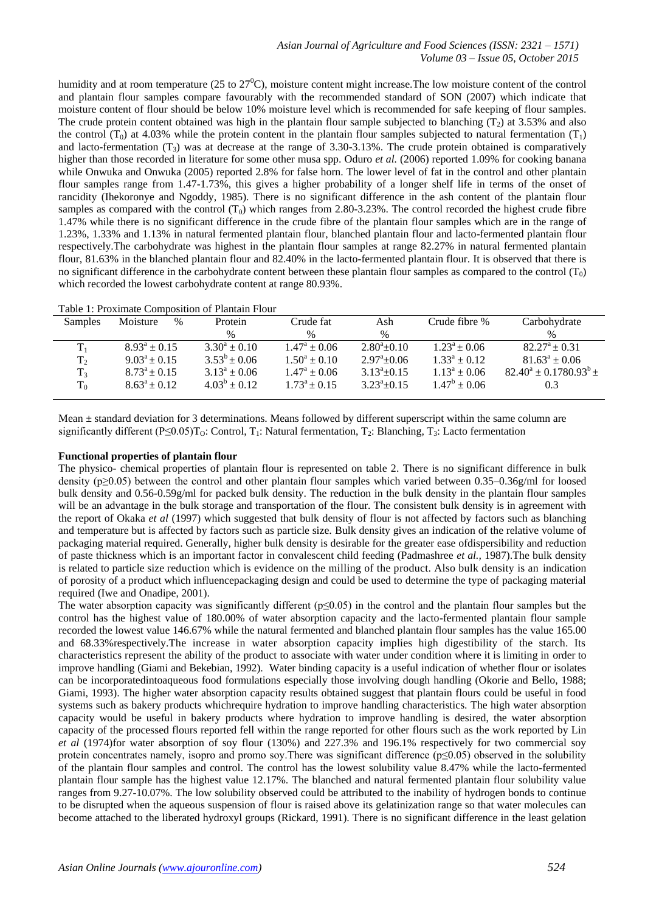humidity and at room temperature (25 to  $27^0$ C), moisture content might increase. The low moisture content of the control and plantain flour samples compare favourably with the recommended standard of SON (2007) which indicate that moisture content of flour should be below 10% moisture level which is recommended for safe keeping of flour samples. The crude protein content obtained was high in the plantain flour sample subjected to blanching  $(T_2)$  at 3.53% and also the control (T<sub>0</sub>) at 4.03% while the protein content in the plantain flour samples subjected to natural fermentation (T<sub>1</sub>) and lacto-fermentation  $(T_3)$  was at decrease at the range of 3.30-3.13%. The crude protein obtained is comparatively higher than those recorded in literature for some other musa spp. Oduro *et al.* (2006) reported 1.09% for cooking banana while Onwuka and Onwuka (2005) reported 2.8% for false horn. The lower level of fat in the control and other plantain flour samples range from 1.47-1.73%, this gives a higher probability of a longer shelf life in terms of the onset of rancidity (Ihekoronye and Ngoddy, 1985). There is no significant difference in the ash content of the plantain flour samples as compared with the control  $(T_0)$  which ranges from 2.80-3.23%. The control recorded the highest crude fibre 1.47% while there is no significant difference in the crude fibre of the plantain flour samples which are in the range of 1.23%, 1.33% and 1.13% in natural fermented plantain flour, blanched plantain flour and lacto-fermented plantain flour respectively.The carbohydrate was highest in the plantain flour samples at range 82.27% in natural fermented plantain flour, 81.63% in the blanched plantain flour and 82.40% in the lacto-fermented plantain flour. It is observed that there is no significant difference in the carbohydrate content between these plantain flour samples as compared to the control  $(T_0)$ which recorded the lowest carbohydrate content at range 80.93%.

| Samples   | Moisture          | $\%$ | Protein           | Crude fat               | Ash                   | Crude fibre %     | Carbohydrate                  |
|-----------|-------------------|------|-------------------|-------------------------|-----------------------|-------------------|-------------------------------|
|           |                   |      | $\%$              | $\%$                    | $\%$                  |                   | $\%$                          |
|           | $8.93^a \pm 0.15$ |      | $3.30^a \pm 0.10$ | $1.47^{\rm a} \pm 0.06$ | $2.80^{\circ}$ + 0.10 | $1.23^a \pm 0.06$ | $82.27^{\rm a} \pm 0.31$      |
| $\rm T_2$ | $9.03^a \pm 0.15$ |      | $3.53^b \pm 0.06$ | $1.50^a \pm 0.10$       | $2.97^{\circ}$ + 0.06 | $1.33^a \pm 0.12$ | $81.63^a \pm 0.06$            |
| $T_{3}$   | $8.73^a \pm 0.15$ |      | $3.13^a \pm 0.06$ | $1.47^{\rm a} \pm 0.06$ | $3.13^a \pm 0.15$     | $1.13^a \pm 0.06$ | $82.40^a \pm 0.1780.93^b \pm$ |
| $T_0$     | $8.63^a \pm 0.12$ |      | $4.03^b \pm 0.12$ | $1.73^a \pm 0.15$       | $3.23^a \pm 0.15$     | $1.47^b \pm 0.06$ | 0.3                           |
|           |                   |      |                   |                         |                       |                   |                               |

Mean ± standard deviation for 3 determinations. Means followed by different superscript within the same column are significantly different (P≤0.05)T<sub>O</sub>: Control, T<sub>1</sub>: Natural fermentation, T<sub>2</sub>: Blanching, T<sub>3</sub>: Lacto fermentation

#### **Functional properties of plantain flour**

The physico- chemical properties of plantain flour is represented on table 2. There is no significant difference in bulk density (p≥0.05) between the control and other plantain flour samples which varied between 0.35–0.36g/ml for loosed bulk density and 0.56-0.59g/ml for packed bulk density. The reduction in the bulk density in the plantain flour samples will be an advantage in the bulk storage and transportation of the flour. The consistent bulk density is in agreement with the report of Okaka *et al* (1997) which suggested that bulk density of flour is not affected by factors such as blanching and temperature but is affected by factors such as particle size. Bulk density gives an indication of the relative volume of packaging material required. Generally, higher bulk density is desirable for the greater ease ofdispersibility and reduction of paste thickness which is an important factor in convalescent child feeding (Padmashree *et al.,* 1987).The bulk density is related to particle size reduction which is evidence on the milling of the product. Also bulk density is an indication of porosity of a product which influencepackaging design and could be used to determine the type of packaging material required (Iwe and Onadipe, 2001).

The water absorption capacity was significantly different ( $p \le 0.05$ ) in the control and the plantain flour samples but the control has the highest value of 180.00% of water absorption capacity and the lacto-fermented plantain flour sample recorded the lowest value 146.67% while the natural fermented and blanched plantain flour samples has the value 165.00 and 68.33%respectively.The increase in water absorption capacity implies high digestibility of the starch. Its characteristics represent the ability of the product to associate with water under condition where it is limiting in order to improve handling (Giami and Bekebian, 1992). Water binding capacity is a useful indication of whether flour or isolates can be incorporatedintoaqueous food formulations especially those involving dough handling (Okorie and Bello, 1988; Giami, 1993). The higher water absorption capacity results obtained suggest that plantain flours could be useful in food systems such as bakery products whichrequire hydration to improve handling characteristics. The high water absorption capacity would be useful in bakery products where hydration to improve handling is desired, the water absorption capacity of the processed flours reported fell within the range reported for other flours such as the work reported by Lin *et al* (1974)for water absorption of soy flour (130%) and 227.3% and 196.1% respectively for two commercial soy protein concentrates namely, isopro and promo soy. There was significant difference  $(p<0.05)$  observed in the solubility of the plantain flour samples and control. The control has the lowest solubility value 8.47% while the lacto-fermented plantain flour sample has the highest value 12.17%. The blanched and natural fermented plantain flour solubility value ranges from 9.27-10.07%. The low solubility observed could be attributed to the inability of hydrogen bonds to continue to be disrupted when the aqueous suspension of flour is raised above its gelatinization range so that water molecules can become attached to the liberated hydroxyl groups (Rickard, 1991). There is no significant difference in the least gelation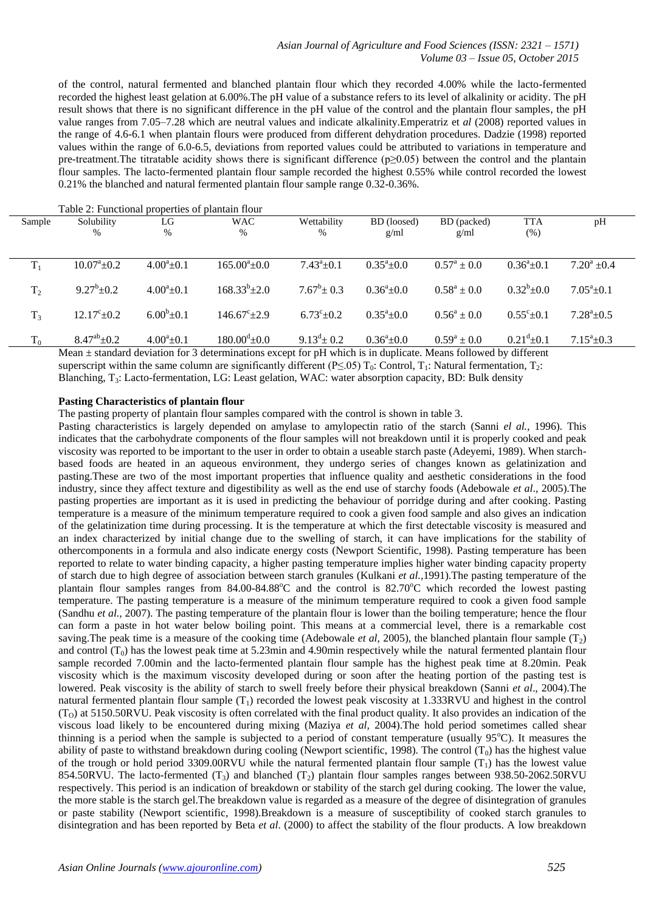of the control, natural fermented and blanched plantain flour which they recorded 4.00% while the lacto-fermented recorded the highest least gelation at 6.00%.The pH value of a substance refers to its level of alkalinity or acidity. The pH result shows that there is no significant difference in the pH value of the control and the plantain flour samples, the pH value ranges from 7.05–7.28 which are neutral values and indicate alkalinity.Emperatriz et *al* (2008) reported values in the range of 4.6-6.1 when plantain flours were produced from different dehydration procedures. Dadzie (1998) reported values within the range of 6.0-6.5, deviations from reported values could be attributed to variations in temperature and pre-treatment.The titratable acidity shows there is significant difference (p≥0.05) between the control and the plantain flour samples. The lacto-fermented plantain flour sample recorded the highest 0.55% while control recorded the lowest 0.21% the blanched and natural fermented plantain flour sample range 0.32-0.36%.

|                | Table 2: Functional properties of plantain flour |                  |                                                                                     |                           |                      |                        |                           |                           |  |  |
|----------------|--------------------------------------------------|------------------|-------------------------------------------------------------------------------------|---------------------------|----------------------|------------------------|---------------------------|---------------------------|--|--|
| Sample         | Solubility                                       | LG               | <b>WAC</b>                                                                          | Wettability               | BD (loosed)          | BD (packed)            | <b>TTA</b>                | pH                        |  |  |
|                | $\%$                                             | $\%$             | %                                                                                   | %                         | g/ml                 | g/ml                   | (% )                      |                           |  |  |
|                |                                                  |                  |                                                                                     |                           |                      |                        |                           |                           |  |  |
| $T_1$          | $10.07^{\circ}$ ±0.2                             | $4.00^a \pm 0.1$ | $165.00^{\circ}$ ± 0.0                                                              | $7.43^a \pm 0.1$          | $0.35^a \pm 0.0$     | $0.57^{\rm a} \pm 0.0$ | $0.36^a + 0.1$            | $7.20^a \pm 0.4$          |  |  |
|                |                                                  |                  |                                                                                     |                           |                      |                        |                           |                           |  |  |
| T <sub>2</sub> | $9.27^b \pm 0.2$                                 | $4.00^a \pm 0.1$ | $168.33^{b} \pm 2.0$                                                                | $7.67^b \pm 0.3$          | $0.36^a \pm 0.0$     | $0.58^a \pm 0.0$       | $0.32^b \pm 0.0$          | $7.05^{\circ}$ ± 0.1      |  |  |
|                |                                                  |                  |                                                                                     |                           |                      |                        |                           |                           |  |  |
| $T_3$          | $12.17^{\circ}$ ±0.2                             | $6.00^b \pm 0.1$ | $146.67^{\circ}$ + 2.9                                                              | $6.73^{\circ}$ + 0.2      | $0.35^{\circ}$ + 0.0 | $0.56^a + 0.0$         | $0.55^{\circ}+0.1$        | $7.28^{\mathrm{a}}$ + 0.5 |  |  |
|                |                                                  |                  |                                                                                     |                           |                      |                        |                           |                           |  |  |
| $T_0$          | $8.47^{ab} \pm 0.2$                              | $4.00^a \pm 0.1$ | $180.00^{\rm d}$ ±0.0                                                               | $9.13^{\text{d}} \pm 0.2$ | $0.36^{\circ}$ + 0.0 | $0.59^a \pm 0.0$       | $0.21^{\text{d}} \pm 0.1$ | $7.15^{\circ}$ ±0.3       |  |  |
|                |                                                  |                  | $Mcan + standard deviation for 3 determinations even for pH which is in duplicate.$ |                           |                      |                        |                           |                           |  |  |

Mean ± standard deviation for 3 determinations except for pH which is in duplicate. Means followed by different superscript within the same column are significantly different (P≤.05)  $T_0$ : Control,  $T_1$ : Natural fermentation,  $T_2$ : Blanching, T<sub>3</sub>: Lacto-fermentation, LG: Least gelation, WAC: water absorption capacity, BD: Bulk density

## **Pasting Characteristics of plantain flour**

The pasting property of plantain flour samples compared with the control is shown in table 3.

Pasting characteristics is largely depended on amylase to amylopectin ratio of the starch (Sanni *el al.,* 1996). This indicates that the carbohydrate components of the flour samples will not breakdown until it is properly cooked and peak viscosity was reported to be important to the user in order to obtain a useable starch paste (Adeyemi, 1989). When starchbased foods are heated in an aqueous environment, they undergo series of changes known as gelatinization and pasting.These are two of the most important properties that influence quality and aesthetic considerations in the food industry, since they affect texture and digestibility as well as the end use of starchy foods (Adebowale *et al*., 2005).The pasting properties are important as it is used in predicting the behaviour of porridge during and after cooking. Pasting temperature is a measure of the minimum temperature required to cook a given food sample and also gives an indication of the gelatinization time during processing. It is the temperature at which the first detectable viscosity is measured and an index characterized by initial change due to the swelling of starch, it can have implications for the stability of othercomponents in a formula and also indicate energy costs (Newport Scientific, 1998). Pasting temperature has been reported to relate to water binding capacity, a higher pasting temperature implies higher water binding capacity property of starch due to high degree of association between starch granules (Kulkani *et al.,*1991).The pasting temperature of the plantain flour samples ranges from  $84.00-84.88^{\circ}$ C and the control is  $82.70^{\circ}$ C which recorded the lowest pasting temperature. The pasting temperature is a measure of the minimum temperature required to cook a given food sample (Sandhu *et al.,* 2007). The pasting temperature of the plantain flour is lower than the boiling temperature; hence the flour can form a paste in hot water below boiling point. This means at a commercial level, there is a remarkable cost saving. The peak time is a measure of the cooking time (Adebowale *et al*, 2005), the blanched plantain flour sample  $(T<sub>2</sub>)$ and control  $(T_0)$  has the lowest peak time at 5.23min and 4.90min respectively while the natural fermented plantain flour sample recorded 7.00min and the lacto-fermented plantain flour sample has the highest peak time at 8.20min. Peak viscosity which is the maximum viscosity developed during or soon after the heating portion of the pasting test is lowered. Peak viscosity is the ability of starch to swell freely before their physical breakdown (Sanni *et al*., 2004).The natural fermented plantain flour sample  $(T_1)$  recorded the lowest peak viscosity at 1.333RVU and highest in the control  $(T<sub>O</sub>)$  at 5150.50RVU. Peak viscosity is often correlated with the final product quality. It also provides an indication of the viscous load likely to be encountered during mixing (Maziya *et al,* 2004).The hold period sometimes called shear thinning is a period when the sample is subjected to a period of constant temperature (usually 95°C). It measures the ability of paste to withstand breakdown during cooling (Newport scientific, 1998). The control  $(T_0)$  has the highest value of the trough or hold period 3309.00RVU while the natural fermented plantain flour sample  $(T_1)$  has the lowest value 854.50RVU. The lacto-fermented  $(T_3)$  and blanched  $(T_2)$  plantain flour samples ranges between 938.50-2062.50RVU respectively. This period is an indication of breakdown or stability of the starch gel during cooking. The lower the value, the more stable is the starch gel.The breakdown value is regarded as a measure of the degree of disintegration of granules or paste stability (Newport scientific, 1998).Breakdown is a measure of susceptibility of cooked starch granules to disintegration and has been reported by Beta *et al*. (2000) to affect the stability of the flour products. A low breakdown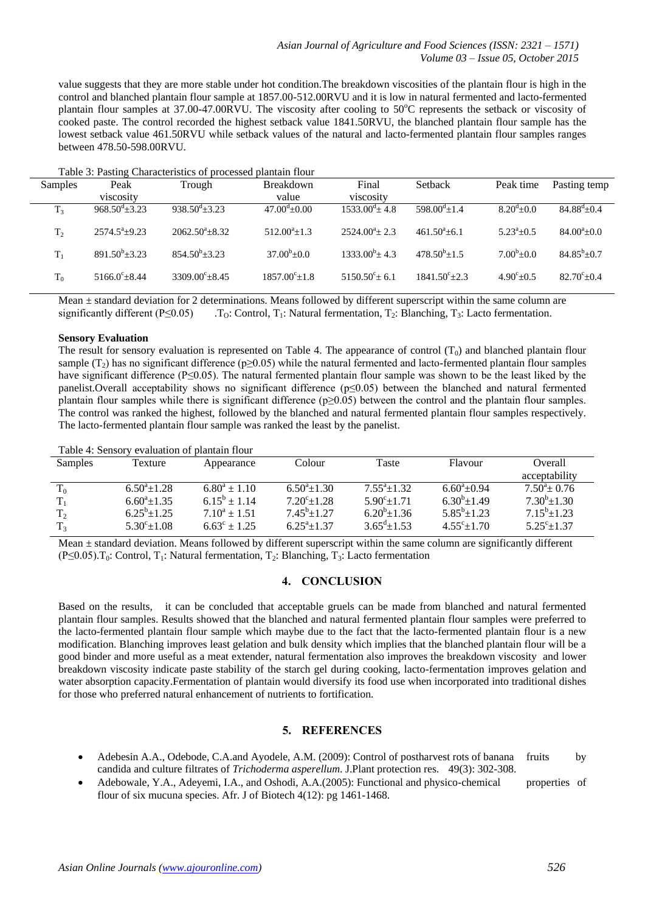value suggests that they are more stable under hot condition.The breakdown viscosities of the plantain flour is high in the control and blanched plantain flour sample at 1857.00-512.00RVU and it is low in natural fermented and lacto-fermented plantain flour samples at  $37.00-47.00$ RVU. The viscosity after cooling to  $50^{\circ}$ C represents the setback or viscosity of cooked paste. The control recorded the highest setback value 1841.50RVU, the blanched plantain flour sample has the lowest setback value 461.50RVU while setback values of the natural and lacto-fermented plantain flour samples ranges between 478.50-598.00RVU.

|  | Table 3: Pasting Characteristics of processed plantain flour |  |  |  |
|--|--------------------------------------------------------------|--|--|--|
|--|--------------------------------------------------------------|--|--|--|

| Samples        | Peak                         | Trough                   | <b>Breakdown</b>      | Final                 | Setback               | Peak time                 | Pasting temp        |
|----------------|------------------------------|--------------------------|-----------------------|-----------------------|-----------------------|---------------------------|---------------------|
|                | viscosity                    |                          | value                 | viscosity             |                       |                           |                     |
| T <sub>3</sub> | $968.50^{\text{d}} \pm 3.23$ | $938.50^{d} + 3.23$      | $47.00^{d} + 0.00$    | $1533.00^{d} + 4.8$   | $598.00^{d}+1.4$      | $8.20^{d}+0.0$            | $84.88^{d}+0.4$     |
| T <sub>2</sub> | $2574.5^a+9.23$              | $2062.50^{\circ}+8.32$   | $512.00^{a}+1.3$      | $2524.00^a + 2.3$     | $461.50^a + 6.1$      | $5.23^{\mathrm{a}} + 0.5$ | $84.00^{\circ}+0.0$ |
| $T_{1}$        | $891.50^b \pm 3.23$          | $854.50^b \pm 3.23$      | $37.00^b \pm 0.0$     | $1333.00^b \pm 4.3$   | $478.50^{b} \pm 1.5$  | $7.00^b \pm 0.0$          | $84.85^{b} \pm 0.7$ |
| $\rm T_0$      | $5166.0^{\circ} + 8.44$      | $3309.00^{\circ} + 8.45$ | $1857.00^{\circ}+1.8$ | $5150.50^{\circ}+6.1$ | $1841.50^{\circ}+2.3$ | $4.90^{\circ}+0.5$        | $82.70^{\circ}+0.4$ |

Mean ± standard deviation for 2 determinations. Means followed by different superscript within the same column are significantly different (P≤0.05) . T<sub>O</sub>: Control, T<sub>1</sub>: Natural fermentation, T<sub>2</sub>: Blanching, T<sub>3</sub>: Lacto fermentation.

#### **Sensory Evaluation**

The result for sensory evaluation is represented on Table 4. The appearance of control  $(T_0)$  and blanched plantain flour sample (T<sub>2</sub>) has no significant difference ( $p\geq 0.05$ ) while the natural fermented and lacto-fermented plantain flour samples have significant difference (P≤0.05). The natural fermented plantain flour sample was shown to be the least liked by the panelist.Overall acceptability shows no significant difference (p≤0.05) between the blanched and natural fermented plantain flour samples while there is significant difference (p≥0.05) between the control and the plantain flour samples. The control was ranked the highest, followed by the blanched and natural fermented plantain flour samples respectively. The lacto-fermented plantain flour sample was ranked the least by the panelist.

Table 4: Sensory evaluation of plantain flour

| <b>Samples</b> | Texture                 | Appearance              | Colour                     | Taste                  | Flavour                   | Overall               |
|----------------|-------------------------|-------------------------|----------------------------|------------------------|---------------------------|-----------------------|
|                |                         |                         |                            |                        |                           | acceptability         |
| $\rm T_{0}$    | $6.50^{\circ}$ ± 1.28   | $6.80^a \pm 1.10$       | $6.50^{\circ}$ ± 1.30      | $7.55^{\circ}+1.32$    | $6.60^{\circ}$ + 0.94     | $7.50^{\circ}+0.76$   |
| $T_1$          | $6.60^{\circ}$ ± 1.35   | $6.15^b \pm 1.14$       | $7.20^{\circ}$ ± 1.28      | $5.90^{\circ}+1.71$    | $6.30^{b} \pm 1.49$       | $7.30^b \pm 1.30$     |
| T <sub>2</sub> | $6.25^b \pm 1.25$       | $7.10^a \pm 1.51$       | $7.45^b$ + 1.27            | $6.20^{b} \pm 1.36$    | $5.85^b$ + 1.23           | $7.15^b$ + 1.23       |
| T <sub>3</sub> | $5.30^{\circ} \pm 1.08$ | $6.63^{\circ} \pm 1.25$ | $6.25^{\mathrm{a}} + 1.37$ | $3.65^{\text{d}}+1.53$ | $4.55^{\circ}$ $\pm 1.70$ | $5.25^{\circ}$ ± 1.37 |

Mean ± standard deviation. Means followed by different superscript within the same column are significantly different (P≤0.05).T<sub>0</sub>: Control, T<sub>1</sub>: Natural fermentation, T<sub>2</sub>: Blanching, T<sub>3</sub>: Lacto fermentation

#### **4. CONCLUSION**

Based on the results, it can be concluded that acceptable gruels can be made from blanched and natural fermented plantain flour samples. Results showed that the blanched and natural fermented plantain flour samples were preferred to the lacto-fermented plantain flour sample which maybe due to the fact that the lacto-fermented plantain flour is a new modification. Blanching improves least gelation and bulk density which implies that the blanched plantain flour will be a good binder and more useful as a meat extender, natural fermentation also improves the breakdown viscosity and lower breakdown viscosity indicate paste stability of the starch gel during cooking, lacto-fermentation improves gelation and water absorption capacity.Fermentation of plantain would diversify its food use when incorporated into traditional dishes for those who preferred natural enhancement of nutrients to fortification.

# **5. REFERENCES**

- Adebesin A.A., Odebode, C.A.and Ayodele, A.M. (2009): Control of postharvest rots of banana fruits by candida and culture filtrates of *Trichoderma asperellum*. J.Plant protection res. 49(3): 302-308.
- Adebowale, Y.A., Adeyemi, I.A., and Oshodi, A.A.(2005): Functional and physico-chemical properties of flour of six mucuna species. Afr. J of Biotech 4(12): pg 1461-1468.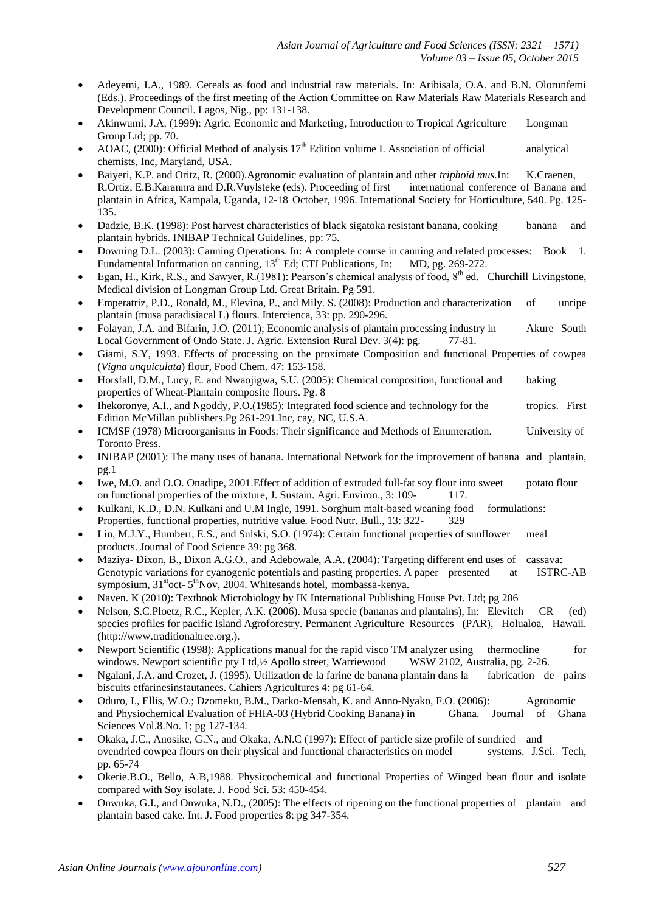- Adeyemi, I.A., 1989. Cereals as food and industrial raw materials. In: Aribisala, O.A. and B.N. Olorunfemi (Eds.). Proceedings of the first meeting of the Action Committee on Raw Materials Raw Materials Research and Development Council. Lagos, Nig., pp: 131-138.
- Akinwumi, J.A. (1999): Agric. Economic and Marketing, Introduction to Tropical Agriculture Longman Group Ltd; pp. 70.
- AOAC, (2000): Official Method of analysis  $17<sup>th</sup>$  Edition volume I. Association of official analytical chemists, Inc, Maryland, USA.
- Baiyeri, K.P. and Oritz, R. (2000).Agronomic evaluation of plantain and other *triphoid mus.*In: K.Craenen, R.Ortiz, E.B.Karannra and D.R.Vuylsteke (eds). Proceeding of first international conference of Banana and plantain in Africa, Kampala, Uganda, 12-18 October, 1996. International Society for Horticulture, 540. Pg. 125- 135.
- Dadzie, B.K. (1998): Post harvest characteristics of black sigatoka resistant banana, cooking banana and plantain hybrids. INIBAP Technical Guidelines, pp: 75.
- Downing D.L. (2003): Canning Operations. In: A complete course in canning and related processes: Book 1. Fundamental Information on canning, 13<sup>th</sup> Ed; CTI Publications, In: MD, pg. 269-272.
- Egan, H., Kirk, R.S., and Sawyer, R.(1981): Pearson's chemical analysis of food,  $8<sup>th</sup>$  ed. Churchill Livingstone, Medical division of Longman Group Ltd. Great Britain. Pg 591.
- Emperatriz, P.D., Ronald, M., Elevina, P., and Mily. S. (2008): Production and characterization of unripe plantain (musa paradisiacal L) flours. Intercienca, 33: pp. 290-296.
- Folayan, J.A. and Bifarin, J.O. (2011); Economic analysis of plantain processing industry in Akure South Local Government of Ondo State. J. Agric. Extension Rural Dev. 3(4): pg. 77-81.
- Giami, S.Y, 1993. Effects of processing on the proximate Composition and functional Properties of cowpea (*Vigna unquiculata*) flour, Food Chem. 47: 153-158.
- Horsfall, D.M., Lucy, E. and Nwaojigwa, S.U. (2005): Chemical composition, functional and baking properties of Wheat-Plantain composite flours. Pg. 8
- Ihekoronye, A.I., and Ngoddy, P.O.(1985): Integrated food science and technology for the tropics. First Edition McMillan publishers.Pg 261-291.Inc, cay, NC, U.S.A.
- ICMSF (1978) Microorganisms in Foods: Their significance and Methods of Enumeration. University of Toronto Press.
- INIBAP (2001): The many uses of banana. International Network for the improvement of banana and plantain, pg.1
- Iwe, M.O. and O.O. Onadipe, 2001.Effect of addition of extruded full-fat soy flour into sweet potato flour on functional properties of the mixture, J. Sustain. Agri. Environ., 3: 109- 117.
- Kulkani, K.D., D.N. Kulkani and U.M Ingle, 1991. Sorghum malt-based weaning food formulations: Properties, functional properties, nutritive value. Food Nutr. Bull., 13: 322- 329
- Lin, M.J.Y., Humbert, E.S., and Sulski, S.O. (1974): Certain functional properties of sunflower meal products. Journal of Food Science 39: pg 368.
- Maziya- Dixon, B., Dixon A.G.O., and Adebowale, A.A. (2004): Targeting different end uses of cassava: Genotypic variations for cyanogenic potentials and pasting properties. A paper presented at ISTRC-AB symposium, 31<sup>st</sup>oct- 5<sup>th</sup>Nov, 2004. Whitesands hotel, mombassa-kenya.
- Naven. K (2010): Textbook Microbiology by IK International Publishing House Pvt. Ltd; pg 206
- Nelson, S.C.Ploetz, R.C., Kepler, A.K. (2006). Musa specie (bananas and plantains), In: Elevitch CR (ed) species profiles for pacific Island Agroforestry. Permanent Agriculture Resources (PAR), Holualoa, Hawaii. (http://www.traditionaltree.org.).
- Newport Scientific (1998): Applications manual for the rapid visco TM analyzer using thermocline for windows. Newport scientific pty Ltd, 1/2 Apollo street, Warriewood WSW 2102, Australia, pg. 2-26.
- Ngalani, J.A. and Crozet, J. (1995). Utilization de la farine de banana plantain dans la fabrication de pains biscuits etfarinesinstautanees. Cahiers Agricultures 4: pg 61-64.
- Oduro, I., Ellis, W.O.; Dzomeku, B.M., Darko-Mensah, K. and Anno-Nyako, F.O. (2006): Agronomic and Physiochemical Evaluation of FHIA-03 (Hybrid Cooking Banana) in Ghana. Journal of Ghana Sciences Vol.8.No. 1; pg 127-134.
- Okaka, J.C., Anosike, G.N., and Okaka, A.N.C (1997): Effect of particle size profile of sundried and ovendried cowpea flours on their physical and functional characteristics on model systems. J.Sci. Tech, pp. 65-74
- Okerie.B.O., Bello, A.B,1988. Physicochemical and functional Properties of Winged bean flour and isolate compared with Soy isolate. J. Food Sci. 53: 450-454.
- Onwuka, G.I., and Onwuka, N.D., (2005): The effects of ripening on the functional properties of plantain and plantain based cake. Int. J. Food properties 8: pg 347-354.